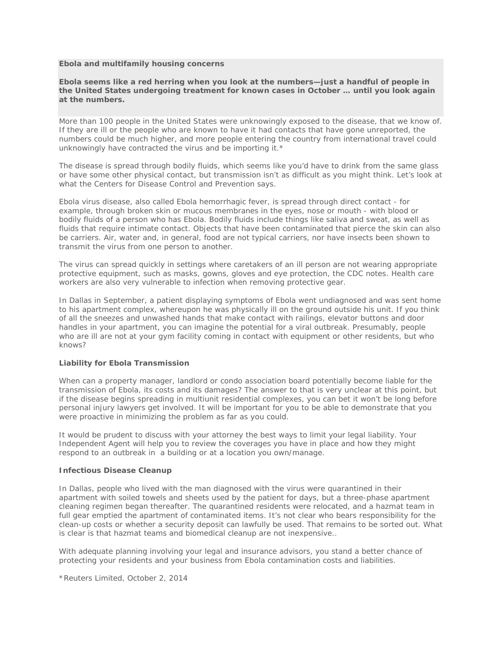## **Ebola and multifamily housing concerns**

**Ebola seems like a red herring when you look at the numbers—just a handful of people in the United States undergoing treatment for known cases in October … until you look again at the numbers.**

More than 100 people in the United States were unknowingly exposed to the disease, that we know of. If they are ill or the people who are known to have it had contacts that have gone unreported, the numbers could be much higher, and more people entering the country from international travel could unknowingly have contracted the virus and be importing it.\*

The disease is spread through bodily fluids, which seems like you'd have to drink from the same glass or have some other physical contact, but transmission isn't as difficult as you might think. Let's look at what the Centers for Disease Control and Prevention says.

Ebola virus disease, also called Ebola hemorrhagic fever, is spread through direct contact - for example, through broken skin or mucous membranes in the eyes, nose or mouth - with blood or bodily fluids of a person who has Ebola. Bodily fluids include things like saliva and sweat, as well as fluids that require intimate contact. Objects that have been contaminated that pierce the skin can also be carriers. Air, water and, in general, food are not typical carriers, nor have insects been shown to transmit the virus from one person to another.

The virus can spread quickly in settings where caretakers of an ill person are not wearing appropriate protective equipment, such as masks, gowns, gloves and eye protection, the CDC notes. Health care workers are also very vulnerable to infection when *removing* protective gear.

In Dallas in September, a patient displaying symptoms of Ebola went undiagnosed and was sent home to his apartment complex, whereupon he was physically ill on the ground outside his unit. If you think of all the sneezes and unwashed hands that make contact with railings, elevator buttons and door handles in your apartment, you can imagine the potential for a viral outbreak. Presumably, people who are ill are not at your gym facility coming in contact with equipment or other residents, but who knows?

## **Liability for Ebola Transmission**

When can a property manager, landlord or condo association board potentially become liable for the transmission of Ebola, its costs and its damages? The answer to that is very unclear at this point, but if the disease begins spreading in multiunit residential complexes, you can bet it won't be long before personal injury lawyers get involved. It will be important for you to be able to demonstrate that you were proactive in minimizing the problem as far as you could.

It would be prudent to discuss with your attorney the best ways to limit your legal liability. Your Independent Agent will help you to review the coverages you have in place and how they might respond to an outbreak in a building or at a location you own/manage.

## **Infectious Disease Cleanup**

In Dallas, people who lived with the man diagnosed with the virus were quarantined in their apartment with soiled towels and sheets used by the patient for days, but a three-phase apartment cleaning regimen began thereafter. The quarantined residents were relocated, and a hazmat team in full gear emptied the apartment of contaminated items. It's not clear who bears responsibility for the clean-up costs or whether a security deposit can lawfully be used. That remains to be sorted out. What is clear is that hazmat teams and biomedical cleanup are not inexpensive..

With adequate planning involving your legal and insurance advisors, you stand a better chance of protecting your residents and your business from Ebola contamination costs and liabilities.

\*Reuters Limited, October 2, 2014